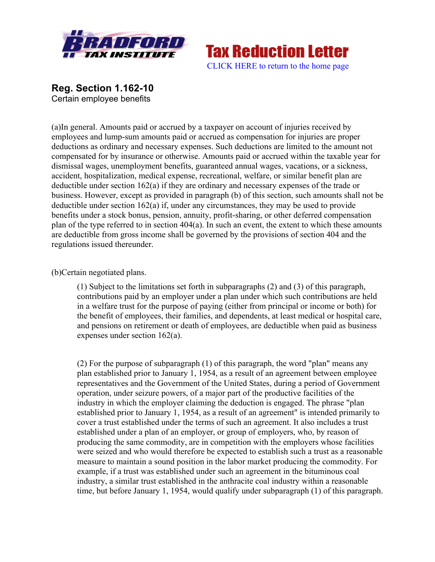



**Reg. Section 1.162-10** Certain employee benefits

(a)In general. Amounts paid or accrued by a taxpayer on account of injuries received by employees and lump-sum amounts paid or accrued as compensation for injuries are proper deductions as ordinary and necessary expenses. Such deductions are limited to the amount not compensated for by insurance or otherwise. Amounts paid or accrued within the taxable year for dismissal wages, unemployment benefits, guaranteed annual wages, vacations, or a sickness, accident, hospitalization, medical expense, recreational, welfare, or similar benefit plan are deductible under section 162(a) if they are ordinary and necessary expenses of the trade or business. However, except as provided in paragraph (b) of this section, such amounts shall not be deductible under section 162(a) if, under any circumstances, they may be used to provide benefits under a stock bonus, pension, annuity, profit-sharing, or other deferred compensation plan of the type referred to in section 404(a). In such an event, the extent to which these amounts are deductible from gross income shall be governed by the provisions of section 404 and the regulations issued thereunder.

## (b)Certain negotiated plans.

(1) Subject to the limitations set forth in subparagraphs (2) and (3) of this paragraph, contributions paid by an employer under a plan under which such contributions are held in a welfare trust for the purpose of paying (either from principal or income or both) for the benefit of employees, their families, and dependents, at least medical or hospital care, and pensions on retirement or death of employees, are deductible when paid as business expenses under section 162(a).

(2) For the purpose of subparagraph (1) of this paragraph, the word "plan" means any plan established prior to January 1, 1954, as a result of an agreement between employee representatives and the Government of the United States, during a period of Government operation, under seizure powers, of a major part of the productive facilities of the industry in which the employer claiming the deduction is engaged. The phrase "plan established prior to January 1, 1954, as a result of an agreement" is intended primarily to cover a trust established under the terms of such an agreement. It also includes a trust established under a plan of an employer, or group of employers, who, by reason of producing the same commodity, are in competition with the employers whose facilities were seized and who would therefore be expected to establish such a trust as a reasonable measure to maintain a sound position in the labor market producing the commodity. For example, if a trust was established under such an agreement in the bituminous coal industry, a similar trust established in the anthracite coal industry within a reasonable time, but before January 1, 1954, would qualify under subparagraph (1) of this paragraph.